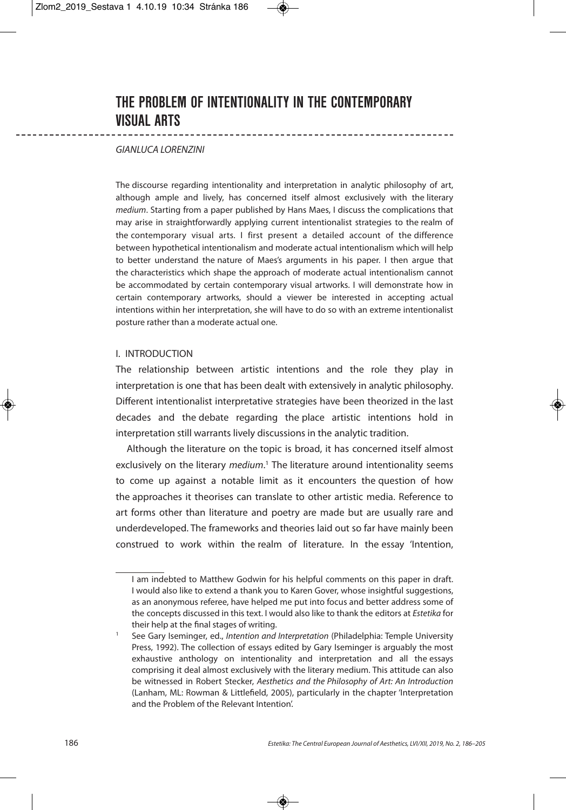# **THE PROBLEM OF INTENTIONALITY IN THE CONTEMPORARY VISUAL ARTS**

## GIANLUCA LORENZINI

The discourse regarding intentionality and interpretation in analytic philosophy of art, although ample and lively, has concerned itself almost exclusively with the literary medium. Starting from a paper published by Hans Maes, I discuss the complications that may arise in straightforwardly applying current intentionalist strategies to the realm of the contemporary visual arts. I first present a detailed account of the difference between hypothetical intentionalism and moderate actual intentionalism which will help to better understand the nature of Maes's arguments in his paper. I then argue that the characteristics which shape the approach of moderate actual intentionalism cannot be accommodated by certain contemporary visual artworks. I will demonstrate how in certain contemporary artworks, should a viewer be interested in accepting actual intentions within her interpretation, she will have to do so with an extreme intentionalist posture rather than a moderate actual one.

## I. INTRODUCTION

The relationship between artistic intentions and the role they play in interpretation is one that has been dealt with extensively in analytic philosophy. Different intentionalist interpretative strategies have been theorized in the last decades and the debate regarding the place artistic intentions hold in interpretation still warrants lively discussions in the analytic tradition.

Although the literature on the topic is broad, it has concerned itself almost exclusively on the literary *medium*.<sup>1</sup> The literature around intentionality seems to come up against a notable limit as it encounters the question of how the approaches it theorises can translate to other artistic media. Reference to art forms other than literature and poetry are made but are usually rare and underdeveloped. The frameworks and theories laid out so far have mainly been construed to work within the realm of literature. In the essay 'Intention,

I am indebted to Matthew Godwin for his helpful comments on this paper in draft. I would also like to extend a thank you to Karen Gover, whose insightful suggestions, as an anonymous referee, have helped me put into focus and better address some of the concepts discussed in this text. I would also like to thank the editors at Estetika for their help at the final stages of writing.

See Gary Iseminger, ed., Intention and Interpretation (Philadelphia: Temple University Press, 1992). The collection of essays edited by Gary Iseminger is arguably the most exhaustive anthology on intentionality and interpretation and all the essays comprising it deal almost exclusively with the literary medium. This attitude can also be witnessed in Robert Stecker, Aesthetics and the Philosophy of Art: An Introduction (Lanham, ML: Rowman & Littlefield, 2005), particularly in the chapter 'Interpretation and the Problem of the Relevant Intention'.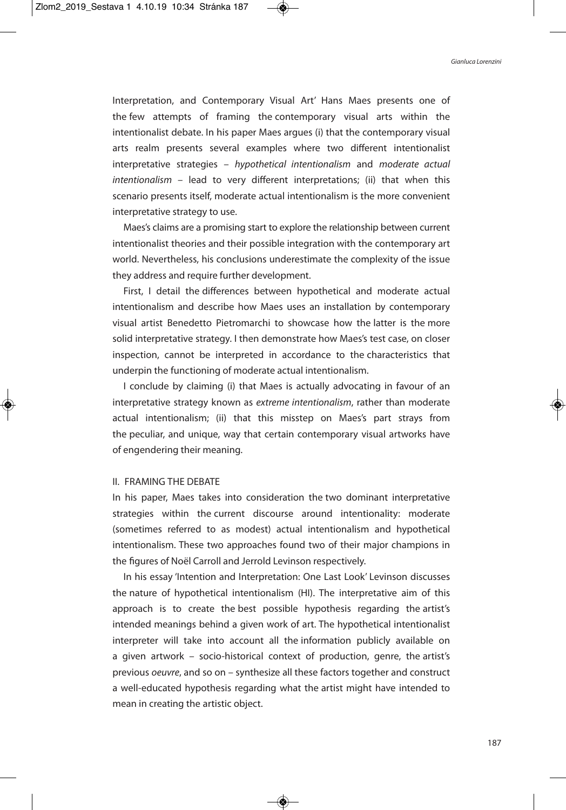Interpretation, and Contemporary Visual Art' Hans Maes presents one of the few attempts of framing the contemporary visual arts within the intentionalist debate. In his paper Maes argues (i) that the contemporary visual arts realm presents several examples where two different intentionalist interpretative strategies – hypothetical intentionalism and moderate actual intentionalism – lead to very different interpretations; (ii) that when this scenario presents itself, moderate actual intentionalism is the more convenient interpretative strategy to use.

Maes's claims are a promising start to explore the relationship between current intentionalist theories and their possible integration with the contemporary art world. Nevertheless, his conclusions underestimate the complexity of the issue they address and require further development.

First, I detail the differences between hypothetical and moderate actual intentionalism and describe how Maes uses an installation by contemporary visual artist Benedetto Pietromarchi to showcase how the latter is the more solid interpretative strategy. I then demonstrate how Maes's test case, on closer inspection, cannot be interpreted in accordance to the characteristics that underpin the functioning of moderate actual intentionalism.

I conclude by claiming (i) that Maes is actually advocating in favour of an interpretative strategy known as extreme intentionalism, rather than moderate actual intentionalism; (ii) that this misstep on Maes's part strays from the peculiar, and unique, way that certain contemporary visual artworks have of engendering their meaning.

### II. FRAMING THE DEBATE

In his paper, Maes takes into consideration the two dominant interpretative strategies within the current discourse around intentionality: moderate (sometimes referred to as modest) actual intentionalism and hypothetical intentionalism. These two approaches found two of their major champions in the figures of Noël Carroll and Jerrold Levinson respectively.

In his essay 'Intention and Interpretation: One Last Look' Levinson discusses the nature of hypothetical intentionalism (HI). The interpretative aim of this approach is to create the best possible hypothesis regarding the artist's intended meanings behind a given work of art. The hypothetical intentionalist interpreter will take into account all the information publicly available on a given artwork – socio-historical context of production, genre, the artist's previous oeuvre, and so on – synthesize all these factors together and construct a well-educated hypothesis regarding what the artist might have intended to mean in creating the artistic object.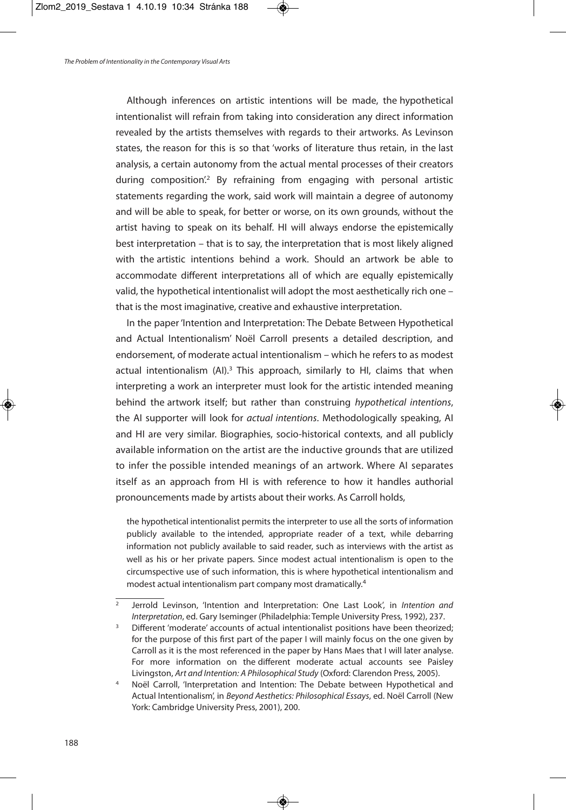Although inferences on artistic intentions will be made, the hypothetical intentionalist will refrain from taking into consideration any direct information revealed by the artists themselves with regards to their artworks. As Levinson states, the reason for this is so that 'works of literature thus retain, in the last analysis, a certain autonomy from the actual mental processes of their creators during composition<sup>'2</sup> By refraining from engaging with personal artistic statements regarding the work, said work will maintain a degree of autonomy and will be able to speak, for better or worse, on its own grounds, without the artist having to speak on its behalf. HI will always endorse the epistemically best interpretation – that is to say, the interpretation that is most likely aligned with the artistic intentions behind a work. Should an artwork be able to accommodate different interpretations all of which are equally epistemically valid, the hypothetical intentionalist will adopt the most aesthetically rich one – that is the most imaginative, creative and exhaustive interpretation.

In the paper'Intention and Interpretation: The Debate Between Hypothetical and Actual Intentionalism' Noël Carroll presents a detailed description, and endorsement, of moderate actual intentionalism – which he refers to as modest actual intentionalism (AI).<sup>3</sup> This approach, similarly to HI, claims that when interpreting a work an interpreter must look for the artistic intended meaning behind the artwork itself; but rather than construing hypothetical intentions, the AI supporter will look for actual intentions. Methodologically speaking, AI and HI are very similar. Biographies, socio-historical contexts, and all publicly available information on the artist are the inductive grounds that are utilized to infer the possible intended meanings of an artwork. Where AI separates itself as an approach from HI is with reference to how it handles authorial pronouncements made by artists about their works. As Carroll holds,

the hypothetical intentionalist permits the interpreter to use all the sorts of information publicly available to the intended, appropriate reader of a text, while debarring information not publicly available to said reader, such as interviews with the artist as well as his or her private papers. Since modest actual intentionalism is open to the circumspective use of such information, this is where hypothetical intentionalism and modest actual intentionalism part company most dramatically. 4

 $\overline{a}$  Jerrold Levinson, 'Intention and Interpretation: One Last Look', in Intention and Interpretation, ed. Gary Iseminger (Philadelphia: Temple University Press, 1992), 237.

Different 'moderate' accounts of actual intentionalist positions have been theorized; for the purpose of this first part of the paper I will mainly focus on the one given by Carroll as it is the most referenced in the paper by Hans Maes that I will later analyse. For more information on the different moderate actual accounts see Paisley Livingston, Art and Intention: A Philosophical Study (Oxford: Clarendon Press, 2005).

Noël Carroll, 'Interpretation and Intention: The Debate between Hypothetical and Actual Intentionalism', in Beyond Aesthetics: Philosophical Essays, ed. Noël Carroll (New York: Cambridge University Press, 2001), 200.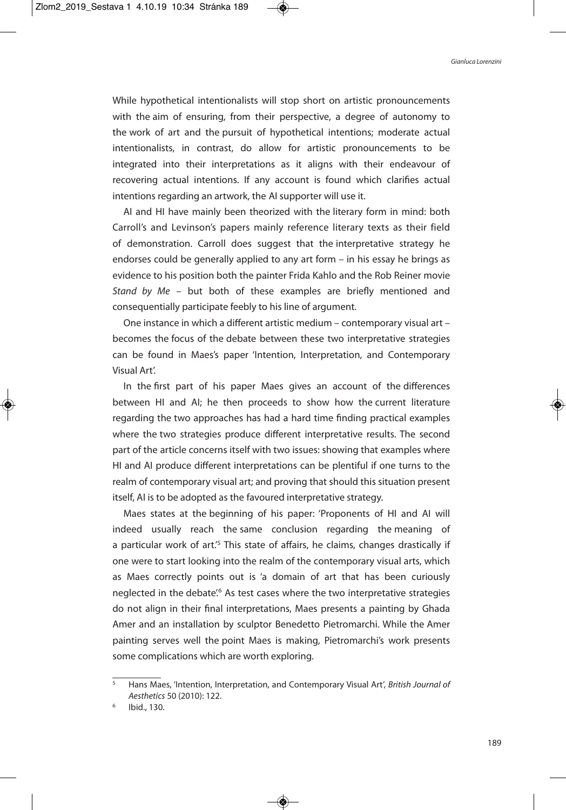While hypothetical intentionalists will stop short on artistic pronouncements with the aim of ensuring, from their perspective, a degree of autonomy to the work of art and the pursuit of hypothetical intentions; moderate actual intentionalists, in contrast, do allow for artistic pronouncements to be integrated into their interpretations as it aligns with their endeavour of recovering actual intentions. If any account is found which clarifies actual intentions regarding an artwork, the AI supporter will use it.

AI and HI have mainly been theorized with the literary form in mind: both Carroll's and Levinson's papers mainly reference literary texts as their field of demonstration. Carroll does suggest that the interpretative strategy he endorses could be generally applied to any art form – in his essay he brings as evidence to his position both the painter Frida Kahlo and the Rob Reiner movie Stand by Me – but both of these examples are briefly mentioned and consequentially participate feebly to his line of argument.

One instance in which a different artistic medium – contemporary visual art – becomes the focus of the debate between these two interpretative strategies can be found in Maes's paper 'Intention, Interpretation, and Contemporary Visual Art'.

In the first part of his paper Maes gives an account of the differences between HI and AI; he then proceeds to show how the current literature regarding the two approaches has had a hard time finding practical examples where the two strategies produce different interpretative results. The second part of the article concerns itself with two issues: showing that examples where HI and AI produce different interpretations can be plentiful if one turns to the realm of contemporary visual art; and proving that should this situation present itself, AI is to be adopted as the favoured interpretative strategy.

Maes states at the beginning of his paper: 'Proponents of HI and AI will indeed usually reach the same conclusion regarding the meaning of a particular work of art.<sup>'5</sup> This state of affairs, he claims, changes drastically if one were to start looking into the realm of the contemporary visual arts, which as Maes correctly points out is 'a domain of art that has been curiously neglected in the debate'.<sup>6</sup> As test cases where the two interpretative strategies do not align in their final interpretations, Maes presents a painting by Ghada Amer and an installation by sculptor Benedetto Pietromarchi. While the Amer painting serves well the point Maes is making, Pietromarchi's work presents some complications which are worth exploring.

Hans Maes, 'Intention, Interpretation, and Contemporary Visual Art', British Journal of Aesthetics 50 (2010): 122.

Ibid., 130.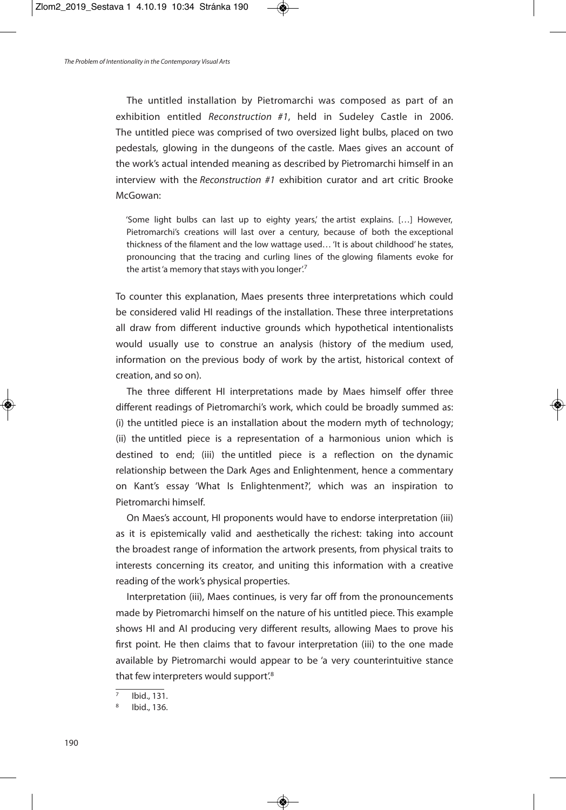The untitled installation by Pietromarchi was composed as part of an exhibition entitled Reconstruction #1, held in Sudeley Castle in 2006. The untitled piece was comprised of two oversized light bulbs, placed on two pedestals, glowing in the dungeons of the castle. Maes gives an account of the work's actual intended meaning as described by Pietromarchi himself in an interview with the Reconstruction #1 exhibition curator and art critic Brooke McGowan:

'Some light bulbs can last up to eighty years,' the artist explains. […] However, Pietromarchi's creations will last over a century, because of both the exceptional thickness of the filament and the low wattage used… 'It is about childhood' he states, pronouncing that the tracing and curling lines of the glowing filaments evoke for the artist'a memory that stays with you longer!7

To counter this explanation, Maes presents three interpretations which could be considered valid HI readings of the installation. These three interpretations all draw from different inductive grounds which hypothetical intentionalists would usually use to construe an analysis (history of the medium used, information on the previous body of work by the artist, historical context of creation, and so on).

The three different HI interpretations made by Maes himself offer three different readings of Pietromarchi's work, which could be broadly summed as: (i) the untitled piece is an installation about the modern myth of technology; (ii) the untitled piece is a representation of a harmonious union which is destined to end; (iii) the untitled piece is a reflection on the dynamic relationship between the Dark Ages and Enlightenment, hence a commentary on Kant's essay 'What Is Enlightenment?', which was an inspiration to Pietromarchi himself.

On Maes's account, HI proponents would have to endorse interpretation (iii) as it is epistemically valid and aesthetically the richest: taking into account the broadest range of information the artwork presents, from physical traits to interests concerning its creator, and uniting this information with a creative reading of the work's physical properties.

Interpretation (iii), Maes continues, is very far off from the pronouncements made by Pietromarchi himself on the nature of his untitled piece. This example shows HI and AI producing very different results, allowing Maes to prove his first point. He then claims that to favour interpretation (iii) to the one made available by Pietromarchi would appear to be 'a very counterintuitive stance that few interpreters would support<sup>'8</sup>

Ibid., 131.

Ibid., 136.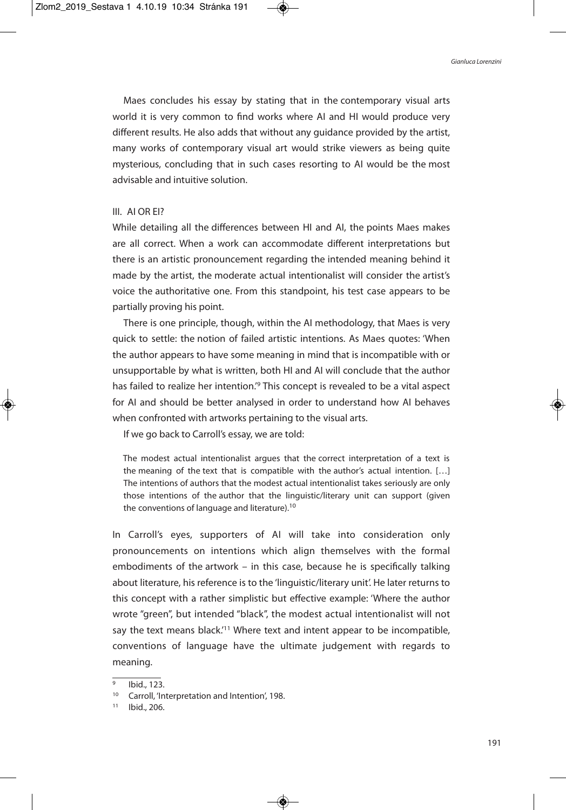Maes concludes his essay by stating that in the contemporary visual arts world it is very common to find works where AI and HI would produce very different results. He also adds that without any guidance provided by the artist, many works of contemporary visual art would strike viewers as being quite mysterious, concluding that in such cases resorting to AI would be the most advisable and intuitive solution.

### III. AI OR EI?

While detailing all the differences between HI and AI, the points Maes makes are all correct. When a work can accommodate different interpretations but there is an artistic pronouncement regarding the intended meaning behind it made by the artist, the moderate actual intentionalist will consider the artist's voice the authoritative one. From this standpoint, his test case appears to be partially proving his point.

There is one principle, though, within the AI methodology, that Maes is very quick to settle: the notion of failed artistic intentions. As Maes quotes: 'When the author appears to have some meaning in mind that is incompatible with or unsupportable by what is written, both HI and AI will conclude that the author has failed to realize her intention.<sup>'</sup> This concept is revealed to be a vital aspect for AI and should be better analysed in order to understand how AI behaves when confronted with artworks pertaining to the visual arts.

If we go back to Carroll's essay, we are told:

The modest actual intentionalist argues that the correct interpretation of a text is the meaning of the text that is compatible with the author's actual intention. […] The intentions of authors that the modest actual intentionalist takes seriously are only those intentions of the author that the linguistic/literary unit can support (given the conventions of language and literature).<sup>10</sup>

In Carroll's eyes, supporters of AI will take into consideration only pronouncements on intentions which align themselves with the formal embodiments of the artwork – in this case, because he is specifically talking about literature, his reference is to the 'linguistic/literary unit'. He later returns to this concept with a rather simplistic but effective example: 'Where the author wrote "green", but intended "black", the modest actual intentionalist will not say the text means black.<sup>'11</sup> Where text and intent appear to be incompatible, conventions of language have the ultimate judgement with regards to meaning.

Ibid., 123.

<sup>&</sup>lt;sup>10</sup> Carroll, 'Interpretation and Intention', 198.

<sup>11</sup> Ibid., 206.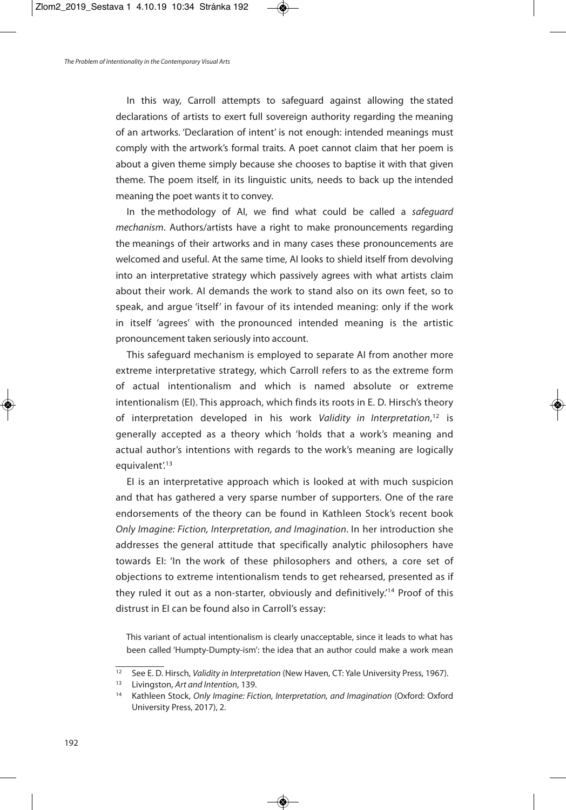In this way, Carroll attempts to safeguard against allowing the stated declarations of artists to exert full sovereign authority regarding the meaning of an artworks. 'Declaration of intent' is not enough: intended meanings must comply with the artwork's formal traits. A poet cannot claim that her poem is about a given theme simply because she chooses to baptise it with that given theme. The poem itself, in its linguistic units, needs to back up the intended meaning the poet wants it to convey.

In the methodology of AI, we find what could be called a safeguard mechanism. Authors/artists have a right to make pronouncements regarding the meanings of their artworks and in many cases these pronouncements are welcomed and useful. At the same time, AI looks to shield itself from devolving into an interpretative strategy which passively agrees with what artists claim about their work. AI demands the work to stand also on its own feet, so to speak, and argue 'itself' in favour of its intended meaning: only if the work in itself 'agrees' with the pronounced intended meaning is the artistic pronouncement taken seriously into account.

This safeguard mechanism is employed to separate AI from another more extreme interpretative strategy, which Carroll refers to as the extreme form of actual intentionalism and which is named absolute or extreme intentionalism (EI). This approach, which finds its roots in E. D. Hirsch's theory of interpretation developed in his work Validity in Interpretation,<sup>12</sup> is generally accepted as a theory which 'holds that a work's meaning and actual author's intentions with regards to the work's meaning are logically equivalent'.<sup>13</sup>

EI is an interpretative approach which is looked at with much suspicion and that has gathered a very sparse number of supporters. One of the rare endorsements of the theory can be found in Kathleen Stock's recent book Only Imagine: Fiction, Interpretation, and Imagination. In her introduction she addresses the general attitude that specifically analytic philosophers have towards EI: 'In the work of these philosophers and others, a core set of objections to extreme intentionalism tends to get rehearsed, presented as if they ruled it out as a non-starter, obviously and definitively.<sup>14</sup> Proof of this distrust in EI can be found also in Carroll's essay:

This variant of actual intentionalism is clearly unacceptable, since it leads to what has been called 'Humpty-Dumpty-ism': the idea that an author could make a work mean

 $\frac{12}{12}$  See E. D. Hirsch, Validity in Interpretation (New Haven, CT: Yale University Press, 1967).

<sup>&</sup>lt;sup>13</sup> Livingston, Art and Intention, 139.

<sup>&</sup>lt;sup>14</sup> Kathleen Stock, Only Imagine: Fiction, Interpretation, and Imagination (Oxford: Oxford University Press, 2017), 2.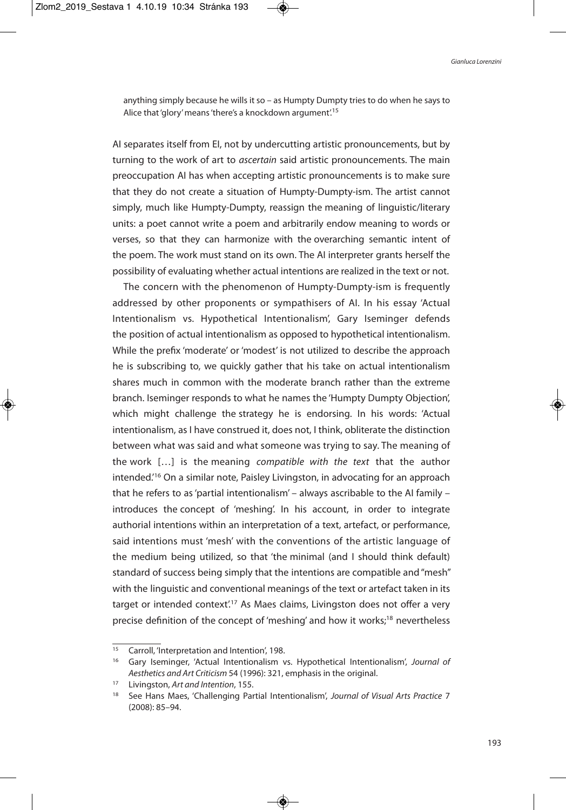anything simply because he wills it so – as Humpty Dumpty tries to do when he says to Alice that 'glory' means 'there's a knockdown argument'.<sup>15</sup>

AI separates itself from EI, not by undercutting artistic pronouncements, but by turning to the work of art to *ascertain* said artistic pronouncements. The main preoccupation AI has when accepting artistic pronouncements is to make sure that they do not create a situation of Humpty-Dumpty-ism. The artist cannot simply, much like Humpty-Dumpty, reassign the meaning of linguistic/literary units: a poet cannot write a poem and arbitrarily endow meaning to words or verses, so that they can harmonize with the overarching semantic intent of the poem. The work must stand on its own. The AI interpreter grants herself the possibility of evaluating whether actual intentions are realized in the text or not.

The concern with the phenomenon of Humpty-Dumpty-ism is frequently addressed by other proponents or sympathisers of AI. In his essay 'Actual Intentionalism vs. Hypothetical Intentionalism', Gary Iseminger defends the position of actual intentionalism as opposed to hypothetical intentionalism. While the prefix 'moderate' or 'modest' is not utilized to describe the approach he is subscribing to, we quickly gather that his take on actual intentionalism shares much in common with the moderate branch rather than the extreme branch. Iseminger responds to what he names the 'Humpty Dumpty Objection', which might challenge the strategy he is endorsing. In his words: 'Actual intentionalism, as I have construed it, does not, I think, obliterate the distinction between what was said and what someone was trying to say. The meaning of the work […] is the meaning compatible with the text that the author intended.' <sup>16</sup> On a similar note, Paisley Livingston, in advocating for an approach that he refers to as'partial intentionalism' – always ascribable to the AI family – introduces the concept of 'meshing'. In his account, in order to integrate authorial intentions within an interpretation of a text, artefact, or performance, said intentions must 'mesh' with the conventions of the artistic language of the medium being utilized, so that 'the minimal (and I should think default) standard of success being simply that the intentions are compatible and "mesh" with the linguistic and conventional meanings of the text or artefact taken in its target or intended context'.<sup>17</sup> As Maes claims, Livingston does not offer a very precise definition of the concept of 'meshing' and how it works;<sup>18</sup> nevertheless

<sup>&</sup>lt;sup>15</sup> Carroll, 'Interpretation and Intention', 198.

<sup>&</sup>lt;sup>16</sup> Gary Iseminger, 'Actual Intentionalism vs. Hypothetical Intentionalism', Journal of Aesthetics and Art Criticism 54 (1996): 321, emphasis in the original.

<sup>&</sup>lt;sup>17</sup> Livingston, Art and Intention, 155.

<sup>&</sup>lt;sup>18</sup> See Hans Maes, 'Challenging Partial Intentionalism', Journal of Visual Arts Practice 7 (2008): 85–94.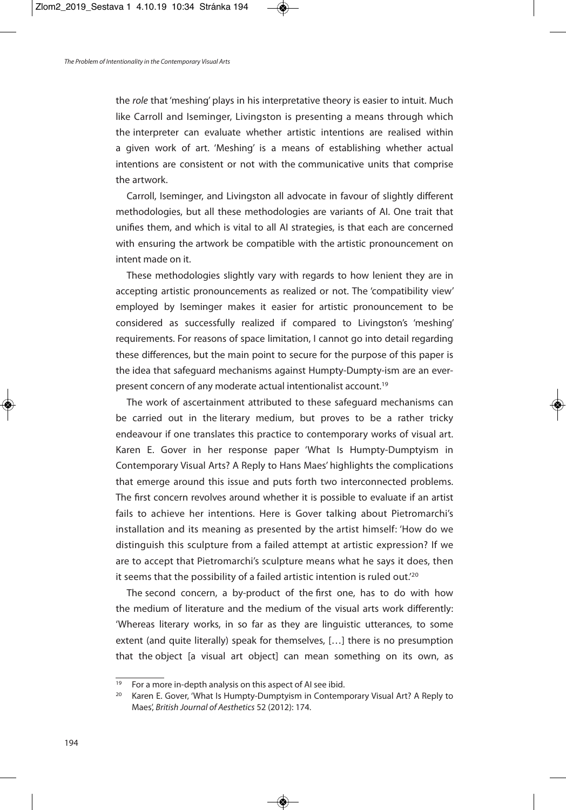the role that 'meshing' plays in his interpretative theory is easier to intuit. Much like Carroll and Iseminger, Livingston is presenting a means through which the interpreter can evaluate whether artistic intentions are realised within a given work of art. 'Meshing' is a means of establishing whether actual intentions are consistent or not with the communicative units that comprise the artwork.

Carroll, Iseminger, and Livingston all advocate in favour of slightly different methodologies, but all these methodologies are variants of AI. One trait that unifies them, and which is vital to all AI strategies, is that each are concerned with ensuring the artwork be compatible with the artistic pronouncement on intent made on it.

These methodologies slightly vary with regards to how lenient they are in accepting artistic pronouncements as realized or not. The 'compatibility view' employed by Iseminger makes it easier for artistic pronouncement to be considered as successfully realized if compared to Livingston's 'meshing' requirements. For reasons of space limitation, I cannot go into detail regarding these differences, but the main point to secure for the purpose of this paper is the idea that safeguard mechanisms against Humpty-Dumpty-ism are an everpresent concern of any moderate actual intentionalist account.<sup>19</sup>

The work of ascertainment attributed to these safeguard mechanisms can be carried out in the literary medium, but proves to be a rather tricky endeavour if one translates this practice to contemporary works of visual art. Karen E. Gover in her response paper 'What Is Humpty-Dumptyism in Contemporary Visual Arts? A Reply to Hans Maes' highlights the complications that emerge around this issue and puts forth two interconnected problems. The first concern revolves around whether it is possible to evaluate if an artist fails to achieve her intentions. Here is Gover talking about Pietromarchi's installation and its meaning as presented by the artist himself: 'How do we distinguish this sculpture from a failed attempt at artistic expression? If we are to accept that Pietromarchi's sculpture means what he says it does, then it seems that the possibility of a failed artistic intention is ruled out.'<sup>20</sup>

The second concern, a by-product of the first one, has to do with how the medium of literature and the medium of the visual arts work differently: 'Whereas literary works, in so far as they are linguistic utterances, to some extent (and quite literally) speak for themselves, […] there is no presumption that the object [a visual art object] can mean something on its own, as

<sup>&</sup>lt;sup>19</sup> For a more in-depth analysis on this aspect of AI see ibid.

<sup>&</sup>lt;sup>20</sup> Karen E. Gover, 'What Is Humpty-Dumptyism in Contemporary Visual Art? A Reply to Maes', British Journal of Aesthetics 52 (2012): 174.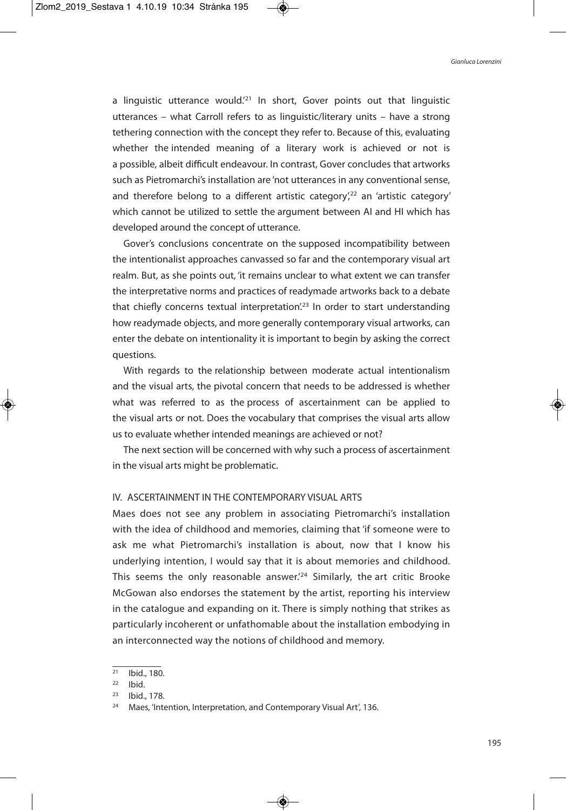a linguistic utterance would.<sup>21</sup> In short, Gover points out that linguistic utterances – what Carroll refers to as linguistic/literary units – have a strong tethering connection with the concept they refer to. Because of this, evaluating whether the intended meaning of a literary work is achieved or not is a possible, albeit difficult endeavour. In contrast, Gover concludes that artworks such as Pietromarchi's installation are 'not utterances in any conventional sense, and therefore belong to a different artistic category<sup>',22</sup> an 'artistic category' which cannot be utilized to settle the argument between AI and HI which has developed around the concept of utterance.

Gover's conclusions concentrate on the supposed incompatibility between the intentionalist approaches canvassed so far and the contemporary visual art realm. But, as she points out, 'it remains unclear to what extent we can transfer the interpretative norms and practices of readymade artworks back to a debate that chiefly concerns textual interpretation<sup>'23</sup> In order to start understanding how readymade objects, and more generally contemporary visual artworks, can enter the debate on intentionality it is important to begin by asking the correct questions.

With regards to the relationship between moderate actual intentionalism and the visual arts, the pivotal concern that needs to be addressed is whether what was referred to as the process of ascertainment can be applied to the visual arts or not. Does the vocabulary that comprises the visual arts allow us to evaluate whether intended meanings are achieved or not?

The next section will be concerned with why such a process of ascertainment in the visual arts might be problematic.

## IV. ASCERTAINMENT IN THE CONTEMPORARY VISUAL ARTS

Maes does not see any problem in associating Pietromarchi's installation with the idea of childhood and memories, claiming that 'if someone were to ask me what Pietromarchi's installation is about, now that I know his underlying intention, I would say that it is about memories and childhood. This seems the only reasonable answer.<sup>'24</sup> Similarly, the art critic Brooke McGowan also endorses the statement by the artist, reporting his interview in the catalogue and expanding on it. There is simply nothing that strikes as particularly incoherent or unfathomable about the installation embodying in an interconnected way the notions of childhood and memory.

 $\frac{1}{21}$  Ibid., 180.

 $22$  Ibid.

<sup>23</sup> Ibid., 178.

<sup>24</sup> Maes, 'Intention, Interpretation, and Contemporary Visual Art', 136.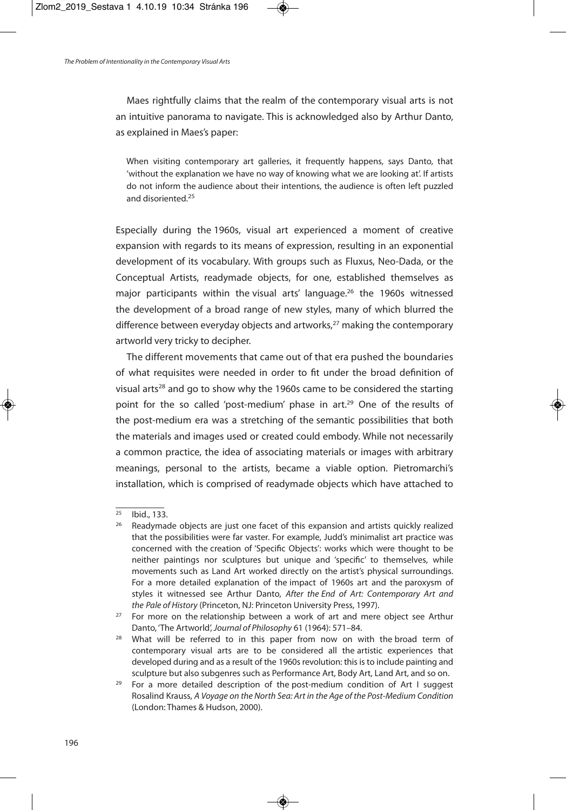Maes rightfully claims that the realm of the contemporary visual arts is not an intuitive panorama to navigate. This is acknowledged also by Arthur Danto, as explained in Maes's paper:

When visiting contemporary art galleries, it frequently happens, says Danto, that 'without the explanation we have no way of knowing what we are looking at'. If artists do not inform the audience about their intentions, the audience is often left puzzled and disoriented. 25

Especially during the 1960s, visual art experienced a moment of creative expansion with regards to its means of expression, resulting in an exponential development of its vocabulary. With groups such as Fluxus, Neo-Dada, or the Conceptual Artists, readymade objects, for one, established themselves as major participants within the visual arts' language. <sup>26</sup> the 1960s witnessed the development of a broad range of new styles, many of which blurred the difference between everyday objects and artworks, <sup>27</sup> making the contemporary artworld very tricky to decipher.

The different movements that came out of that era pushed the boundaries of what requisites were needed in order to fit under the broad definition of visual arts<sup>28</sup> and go to show why the 1960s came to be considered the starting point for the so called 'post-medium' phase in art. <sup>29</sup> One of the results of the post-medium era was a stretching of the semantic possibilities that both the materials and images used or created could embody. While not necessarily a common practice, the idea of associating materials or images with arbitrary meanings, personal to the artists, became a viable option. Pietromarchi's installation, which is comprised of readymade objects which have attached to

<sup>25</sup> Ibid., 133.

<sup>&</sup>lt;sup>26</sup> Readymade objects are just one facet of this expansion and artists quickly realized that the possibilities were far vaster. For example, Judd's minimalist art practice was concerned with the creation of 'Specific Objects': works which were thought to be neither paintings nor sculptures but unique and 'specific' to themselves, while movements such as Land Art worked directly on the artist's physical surroundings. For a more detailed explanation of the impact of 1960s art and the paroxysm of styles it witnessed see Arthur Danto, After the End of Art: Contemporary Art and the Pale of History (Princeton, NJ: Princeton University Press, 1997).

 $27$  For more on the relationship between a work of art and mere object see Arthur Danto, 'The Artworld',Journal of Philosophy 61 (1964): 571–84.

<sup>&</sup>lt;sup>28</sup> What will be referred to in this paper from now on with the broad term of contemporary visual arts are to be considered all the artistic experiences that developed during and as a result of the 1960s revolution: this is to include painting and sculpture but also subgenres such as Performance Art, Body Art, Land Art, and so on.

 $29$  For a more detailed description of the post-medium condition of Art I suggest Rosalind Krauss, A Voyage on the North Sea: Art in the Age of the Post-Medium Condition (London: Thames & Hudson, 2000).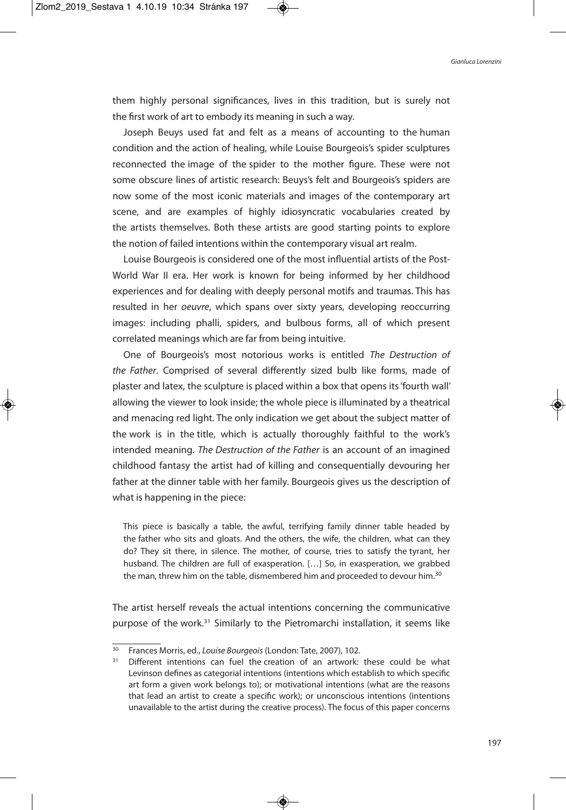them highly personal significances, lives in this tradition, but is surely not the first work of art to embody its meaning in such a way.

Joseph Beuys used fat and felt as a means of accounting to the human condition and the action of healing, while Louise Bourgeois's spider sculptures reconnected the image of the spider to the mother figure. These were not some obscure lines of artistic research: Beuys's felt and Bourgeois's spiders are now some of the most iconic materials and images of the contemporary art scene, and are examples of highly idiosyncratic vocabularies created by the artists themselves. Both these artists are good starting points to explore the notion of failed intentions within the contemporary visual art realm.

Louise Bourgeois is considered one of the most influential artists of the Post-World War II era. Her work is known for being informed by her childhood experiences and for dealing with deeply personal motifs and traumas. This has resulted in her oeuvre, which spans over sixty years, developing reoccurring images: including phalli, spiders, and bulbous forms, all of which present correlated meanings which are far from being intuitive.

One of Bourgeois's most notorious works is entitled The Destruction of the Father. Comprised of several differently sized bulb like forms, made of plaster and latex, the sculpture is placed within a box that opens its'fourth wall' allowing the viewer to look inside; the whole piece is illuminated by a theatrical and menacing red light. The only indication we get about the subject matter of the work is in the title, which is actually thoroughly faithful to the work's intended meaning. The Destruction of the Father is an account of an imagined childhood fantasy the artist had of killing and consequentially devouring her father at the dinner table with her family. Bourgeois gives us the description of what is happening in the piece:

This piece is basically a table, the awful, terrifying family dinner table headed by the father who sits and gloats. And the others, the wife, the children, what can they do? They sit there, in silence. The mother, of course, tries to satisfy the tyrant, her husband. The children are full of exasperation. […] So, in exasperation, we grabbed the man, threw him on the table, dismembered him and proceeded to devour him.<sup>30</sup>

The artist herself reveals the actual intentions concerning the communicative purpose of the work.<sup>31</sup> Similarly to the Pietromarchi installation, it seems like

<sup>&</sup>lt;sup>30</sup> Frances Morris, ed., Louise Bourgeois (London: Tate, 2007), 102.

 $31$  Different intentions can fuel the creation of an artwork: these could be what Levinson defines as categorial intentions (intentions which establish to which specific art form a given work belongs to); or motivational intentions (what are the reasons that lead an artist to create a specific work); or unconscious intentions (intentions unavailable to the artist during the creative process). The focus of this paper concerns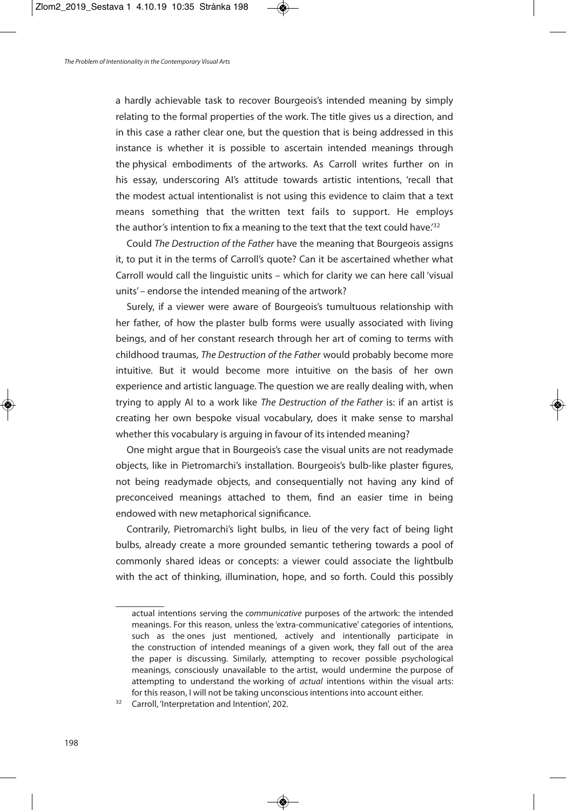a hardly achievable task to recover Bourgeois's intended meaning by simply relating to the formal properties of the work. The title gives us a direction, and in this case a rather clear one, but the question that is being addressed in this instance is whether it is possible to ascertain intended meanings through the physical embodiments of the artworks. As Carroll writes further on in his essay, underscoring AI's attitude towards artistic intentions, 'recall that the modest actual intentionalist is not using this evidence to claim that a text means something that the written text fails to support. He employs the author's intention to fix a meaning to the text that the text could have.<sup>'32</sup>

Could The Destruction of the Father have the meaning that Bourgeois assigns it, to put it in the terms of Carroll's quote? Can it be ascertained whether what Carroll would call the linguistic units – which for clarity we can here call 'visual units' – endorse the intended meaning of the artwork?

Surely, if a viewer were aware of Bourgeois's tumultuous relationship with her father, of how the plaster bulb forms were usually associated with living beings, and of her constant research through her art of coming to terms with childhood traumas, The Destruction of the Father would probably become more intuitive. But it would become more intuitive on the basis of her own experience and artistic language. The question we are really dealing with, when trying to apply AI to a work like The Destruction of the Father is: if an artist is creating her own bespoke visual vocabulary, does it make sense to marshal whether this vocabulary is arguing in favour of its intended meaning?

One might argue that in Bourgeois's case the visual units are not readymade objects, like in Pietromarchi's installation. Bourgeois's bulb-like plaster figures, not being readymade objects, and consequentially not having any kind of preconceived meanings attached to them, find an easier time in being endowed with new metaphorical significance.

Contrarily, Pietromarchi's light bulbs, in lieu of the very fact of being light bulbs, already create a more grounded semantic tethering towards a pool of commonly shared ideas or concepts: a viewer could associate the lightbulb with the act of thinking, illumination, hope, and so forth. Could this possibly

actual intentions serving the communicative purposes of the artwork: the intended meanings. For this reason, unless the 'extra-communicative' categories of intentions, such as the ones just mentioned, actively and intentionally participate in the construction of intended meanings of a given work, they fall out of the area the paper is discussing. Similarly, attempting to recover possible psychological meanings, consciously unavailable to the artist, would undermine the purpose of attempting to understand the working of *actual* intentions within the visual arts: for this reason, I will not be taking unconscious intentions into account either.

<sup>&</sup>lt;sup>32</sup> Carroll, 'Interpretation and Intention', 202.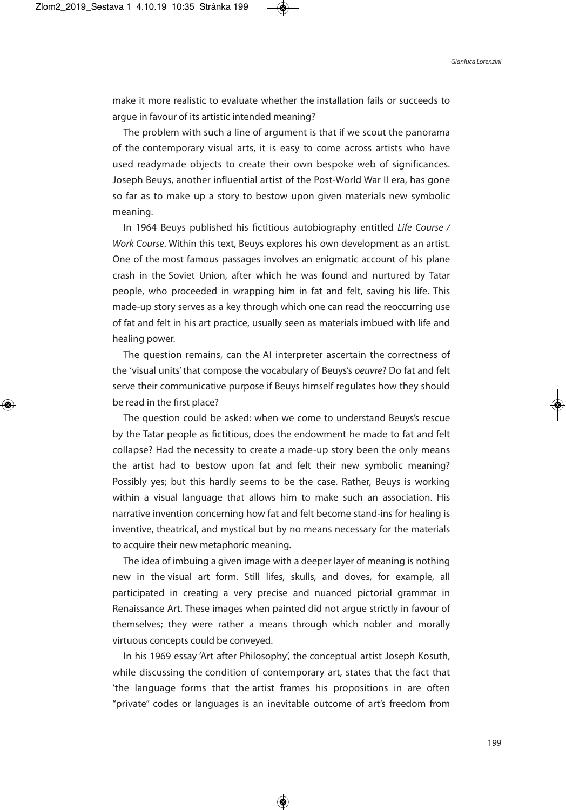make it more realistic to evaluate whether the installation fails or succeeds to argue in favour of its artistic intended meaning?

The problem with such a line of argument is that if we scout the panorama of the contemporary visual arts, it is easy to come across artists who have used readymade objects to create their own bespoke web of significances. Joseph Beuys, another influential artist of the Post-World War II era, has gone so far as to make up a story to bestow upon given materials new symbolic meaning.

In 1964 Beuys published his fictitious autobiography entitled Life Course / Work Course. Within this text, Beuys explores his own development as an artist. One of the most famous passages involves an enigmatic account of his plane crash in the Soviet Union, after which he was found and nurtured by Tatar people, who proceeded in wrapping him in fat and felt, saving his life. This made-up story serves as a key through which one can read the reoccurring use of fat and felt in his art practice, usually seen as materials imbued with life and healing power.

The question remains, can the AI interpreter ascertain the correctness of the 'visual units' that compose the vocabulary of Beuys's oeuvre? Do fat and felt serve their communicative purpose if Beuys himself regulates how they should be read in the first place?

The question could be asked: when we come to understand Beuys's rescue by the Tatar people as fictitious, does the endowment he made to fat and felt collapse? Had the necessity to create a made-up story been the only means the artist had to bestow upon fat and felt their new symbolic meaning? Possibly yes; but this hardly seems to be the case. Rather, Beuys is working within a visual language that allows him to make such an association. His narrative invention concerning how fat and felt become stand-ins for healing is inventive, theatrical, and mystical but by no means necessary for the materials to acquire their new metaphoric meaning.

The idea of imbuing a given image with a deeper layer of meaning is nothing new in the visual art form. Still lifes, skulls, and doves, for example, all participated in creating a very precise and nuanced pictorial grammar in Renaissance Art. These images when painted did not argue strictly in favour of themselves; they were rather a means through which nobler and morally virtuous concepts could be conveyed.

In his 1969 essay 'Art after Philosophy', the conceptual artist Joseph Kosuth, while discussing the condition of contemporary art, states that the fact that 'the language forms that the artist frames his propositions in are often "private" codes or languages is an inevitable outcome of art's freedom from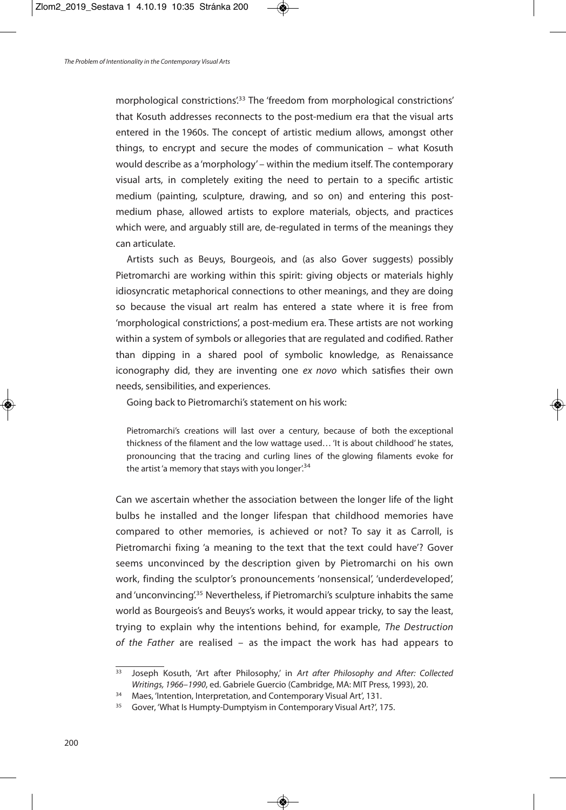morphological constrictions'. <sup>33</sup> The 'freedom from morphological constrictions' that Kosuth addresses reconnects to the post-medium era that the visual arts entered in the 1960s. The concept of artistic medium allows, amongst other things, to encrypt and secure the modes of communication – what Kosuth would describe as a 'morphology' – within the medium itself. The contemporary visual arts, in completely exiting the need to pertain to a specific artistic medium (painting, sculpture, drawing, and so on) and entering this postmedium phase, allowed artists to explore materials, objects, and practices which were, and arguably still are, de-regulated in terms of the meanings they can articulate.

Artists such as Beuys, Bourgeois, and (as also Gover suggests) possibly Pietromarchi are working within this spirit: giving objects or materials highly idiosyncratic metaphorical connections to other meanings, and they are doing so because the visual art realm has entered a state where it is free from 'morphological constrictions', a post-medium era. These artists are not working within a system of symbols or allegories that are regulated and codified. Rather than dipping in a shared pool of symbolic knowledge, as Renaissance iconography did, they are inventing one ex novo which satisfies their own needs, sensibilities, and experiences.

Going back to Pietromarchi's statement on his work:

Pietromarchi's creations will last over a century, because of both the exceptional thickness of the filament and the low wattage used… 'It is about childhood' he states, pronouncing that the tracing and curling lines of the glowing filaments evoke for the artist'a memory that stays with you longer.<sup>34</sup>

Can we ascertain whether the association between the longer life of the light bulbs he installed and the longer lifespan that childhood memories have compared to other memories, is achieved or not? To say it as Carroll, is Pietromarchi fixing 'a meaning to the text that the text could have'? Gover seems unconvinced by the description given by Pietromarchi on his own work, finding the sculptor's pronouncements 'nonsensical', 'underdeveloped', and 'unconvincing'.<sup>35</sup> Nevertheless, if Pietromarchi's sculpture inhabits the same world as Bourgeois's and Beuys's works, it would appear tricky, to say the least, trying to explain why the intentions behind, for example, The Destruction of the Father are realised – as the impact the work has had appears to

<sup>33</sup> Joseph Kosuth, 'Art after Philosophy,' in Art after Philosophy and After: Collected Writings, 1966–1990, ed. Gabriele Guercio (Cambridge, MA: MIT Press, 1993), 20.

<sup>&</sup>lt;sup>34</sup> Maes, 'Intention, Interpretation, and Contemporary Visual Art', 131.

<sup>&</sup>lt;sup>35</sup> Gover, 'What Is Humpty-Dumptyism in Contemporary Visual Art?', 175.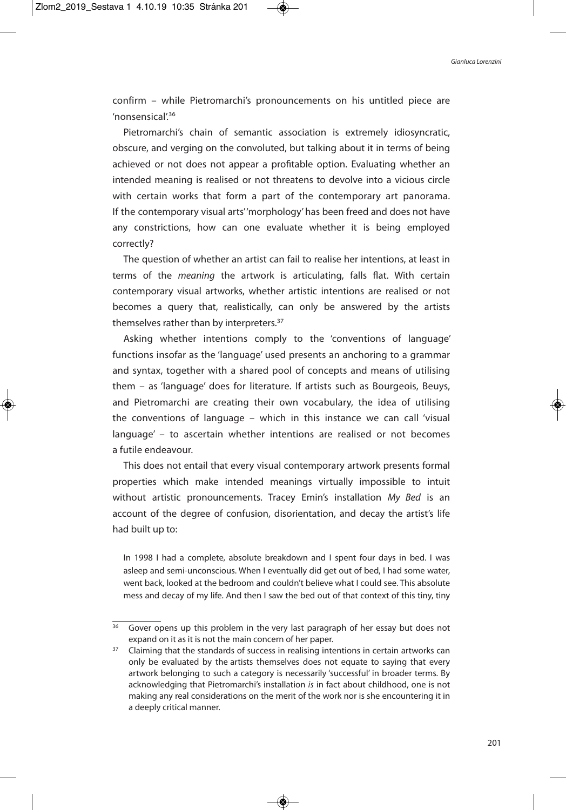confirm – while Pietromarchi's pronouncements on his untitled piece are 'nonsensical'. 36

Pietromarchi's chain of semantic association is extremely idiosyncratic, obscure, and verging on the convoluted, but talking about it in terms of being achieved or not does not appear a profitable option. Evaluating whether an intended meaning is realised or not threatens to devolve into a vicious circle with certain works that form a part of the contemporary art panorama. If the contemporary visual arts''morphology' has been freed and does not have any constrictions, how can one evaluate whether it is being employed correctly?

The question of whether an artist can fail to realise her intentions, at least in terms of the meaning the artwork is articulating, falls flat. With certain contemporary visual artworks, whether artistic intentions are realised or not becomes a query that, realistically, can only be answered by the artists themselves rather than by interpreters.<sup>37</sup>

Asking whether intentions comply to the 'conventions of language' functions insofar as the 'language' used presents an anchoring to a grammar and syntax, together with a shared pool of concepts and means of utilising them – as 'language' does for literature. If artists such as Bourgeois, Beuys, and Pietromarchi are creating their own vocabulary, the idea of utilising the conventions of language – which in this instance we can call 'visual language' – to ascertain whether intentions are realised or not becomes a futile endeavour.

This does not entail that every visual contemporary artwork presents formal properties which make intended meanings virtually impossible to intuit without artistic pronouncements. Tracey Emin's installation My Bed is an account of the degree of confusion, disorientation, and decay the artist's life had built up to:

In 1998 I had a complete, absolute breakdown and I spent four days in bed. I was asleep and semi-unconscious. When I eventually did get out of bed, I had some water, went back, looked at the bedroom and couldn't believe what I could see. This absolute mess and decay of my life. And then I saw the bed out of that context of this tiny, tiny

 $36$  Gover opens up this problem in the very last paragraph of her essay but does not expand on it as it is not the main concern of her paper.

<sup>&</sup>lt;sup>37</sup> Claiming that the standards of success in realising intentions in certain artworks can only be evaluated by the artists themselves does not equate to saying that every artwork belonging to such a category is necessarily 'successful' in broader terms. By acknowledging that Pietromarchi's installation is in fact about childhood, one is not making any real considerations on the merit of the work nor is she encountering it in a deeply critical manner.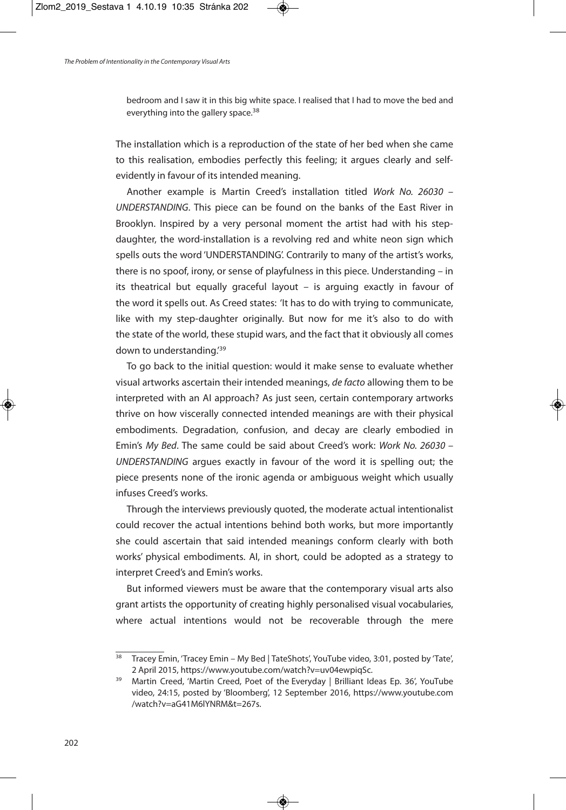bedroom and I saw it in this big white space. I realised that I had to move the bed and everything into the gallery space.<sup>38</sup>

The installation which is a reproduction of the state of her bed when she came to this realisation, embodies perfectly this feeling; it argues clearly and selfevidently in favour of its intended meaning.

Another example is Martin Creed's installation titled Work No. 26030 – UNDERSTANDING. This piece can be found on the banks of the East River in Brooklyn. Inspired by a very personal moment the artist had with his stepdaughter, the word-installation is a revolving red and white neon sign which spells outs the word 'UNDERSTANDING'. Contrarily to many of the artist's works, there is no spoof, irony, or sense of playfulness in this piece. Understanding – in its theatrical but equally graceful layout – is arguing exactly in favour of the word it spells out. As Creed states: 'It has to do with trying to communicate, like with my step-daughter originally. But now for me it's also to do with the state of the world, these stupid wars, and the fact that it obviously all comes down to understanding.'<sup>39</sup>

To go back to the initial question: would it make sense to evaluate whether visual artworks ascertain their intended meanings, de facto allowing them to be interpreted with an AI approach? As just seen, certain contemporary artworks thrive on how viscerally connected intended meanings are with their physical embodiments. Degradation, confusion, and decay are clearly embodied in Emin's My Bed. The same could be said about Creed's work: Work No. 26030 – UNDERSTANDING argues exactly in favour of the word it is spelling out; the piece presents none of the ironic agenda or ambiguous weight which usually infuses Creed's works.

Through the interviews previously quoted, the moderate actual intentionalist could recover the actual intentions behind both works, but more importantly she could ascertain that said intended meanings conform clearly with both works' physical embodiments. AI, in short, could be adopted as a strategy to interpret Creed's and Emin's works.

But informed viewers must be aware that the contemporary visual arts also grant artists the opportunity of creating highly personalised visual vocabularies, where actual intentions would not be recoverable through the mere

<sup>&</sup>lt;sup>38</sup> Tracey Emin, 'Tracey Emin – My Bed | TateShots', YouTube video, 3:01, posted by 'Tate', 2 April 2015, https://www.youtube.com/watch?v=uv04ewpiqSc.

<sup>&</sup>lt;sup>39</sup> Martin Creed, 'Martin Creed, Poet of the Everyday | Brilliant Ideas Ep. 36', YouTube video, 24:15, posted by 'Bloomberg', 12 September 2016, https://www.youtube.com /watch?v=aG41M6lYNRM&t=267s.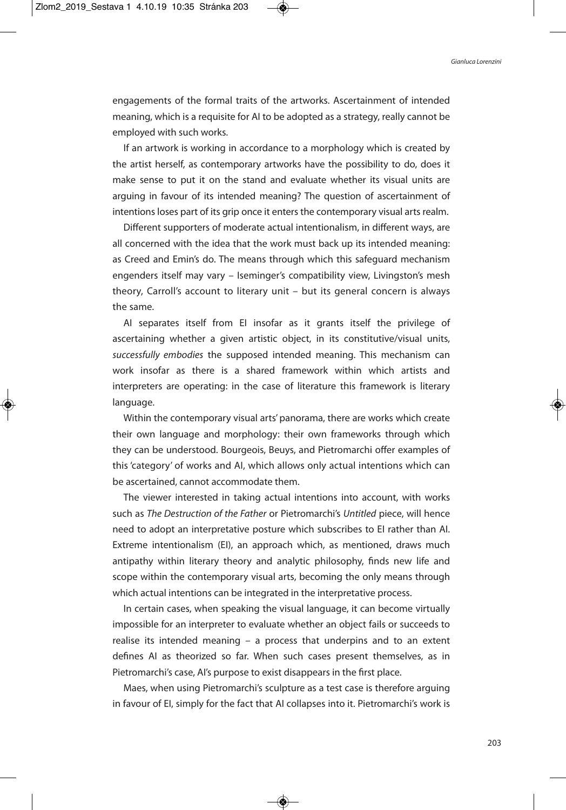engagements of the formal traits of the artworks. Ascertainment of intended meaning, which is a requisite for AI to be adopted as a strategy, really cannot be employed with such works.

If an artwork is working in accordance to a morphology which is created by the artist herself, as contemporary artworks have the possibility to do, does it make sense to put it on the stand and evaluate whether its visual units are arguing in favour of its intended meaning? The question of ascertainment of intentions loses part of its grip once it enters the contemporary visual arts realm.

Different supporters of moderate actual intentionalism, in different ways, are all concerned with the idea that the work must back up its intended meaning: as Creed and Emin's do. The means through which this safeguard mechanism engenders itself may vary – Iseminger's compatibility view, Livingston's mesh theory, Carroll's account to literary unit – but its general concern is always the same.

AI separates itself from EI insofar as it grants itself the privilege of ascertaining whether a given artistic object, in its constitutive/visual units, successfully embodies the supposed intended meaning. This mechanism can work insofar as there is a shared framework within which artists and interpreters are operating: in the case of literature this framework is literary language.

Within the contemporary visual arts' panorama, there are works which create their own language and morphology: their own frameworks through which they can be understood. Bourgeois, Beuys, and Pietromarchi offer examples of this 'category' of works and AI, which allows only actual intentions which can be ascertained, cannot accommodate them.

The viewer interested in taking actual intentions into account, with works such as The Destruction of the Father or Pietromarchi's Untitled piece, will hence need to adopt an interpretative posture which subscribes to EI rather than AI. Extreme intentionalism (EI), an approach which, as mentioned, draws much antipathy within literary theory and analytic philosophy, finds new life and scope within the contemporary visual arts, becoming the only means through which actual intentions can be integrated in the interpretative process.

In certain cases, when speaking the visual language, it can become virtually impossible for an interpreter to evaluate whether an object fails or succeeds to realise its intended meaning – a process that underpins and to an extent defines AI as theorized so far. When such cases present themselves, as in Pietromarchi's case, AI's purpose to exist disappears in the first place.

Maes, when using Pietromarchi's sculpture as a test case is therefore arguing in favour of EI, simply for the fact that AI collapses into it. Pietromarchi's work is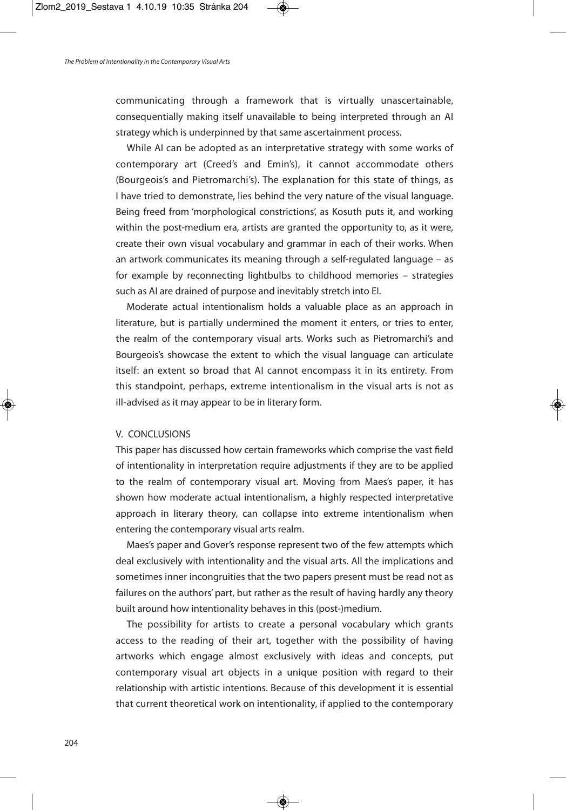communicating through a framework that is virtually unascertainable, consequentially making itself unavailable to being interpreted through an AI strategy which is underpinned by that same ascertainment process.

While AI can be adopted as an interpretative strategy with some works of contemporary art (Creed's and Emin's), it cannot accommodate others (Bourgeois's and Pietromarchi's). The explanation for this state of things, as I have tried to demonstrate, lies behind the very nature of the visual language. Being freed from 'morphological constrictions', as Kosuth puts it, and working within the post-medium era, artists are granted the opportunity to, as it were, create their own visual vocabulary and grammar in each of their works. When an artwork communicates its meaning through a self-regulated language – as for example by reconnecting lightbulbs to childhood memories – strategies such as AI are drained of purpose and inevitably stretch into EI.

Moderate actual intentionalism holds a valuable place as an approach in literature, but is partially undermined the moment it enters, or tries to enter, the realm of the contemporary visual arts. Works such as Pietromarchi's and Bourgeois's showcase the extent to which the visual language can articulate itself: an extent so broad that AI cannot encompass it in its entirety. From this standpoint, perhaps, extreme intentionalism in the visual arts is not as ill-advised as it may appear to be in literary form.

## V. CONCLUSIONS

This paper has discussed how certain frameworks which comprise the vast field of intentionality in interpretation require adjustments if they are to be applied to the realm of contemporary visual art. Moving from Maes's paper, it has shown how moderate actual intentionalism, a highly respected interpretative approach in literary theory, can collapse into extreme intentionalism when entering the contemporary visual arts realm.

Maes's paper and Gover's response represent two of the few attempts which deal exclusively with intentionality and the visual arts. All the implications and sometimes inner incongruities that the two papers present must be read not as failures on the authors' part, but rather as the result of having hardly any theory built around how intentionality behaves in this (post-)medium.

The possibility for artists to create a personal vocabulary which grants access to the reading of their art, together with the possibility of having artworks which engage almost exclusively with ideas and concepts, put contemporary visual art objects in a unique position with regard to their relationship with artistic intentions. Because of this development it is essential that current theoretical work on intentionality, if applied to the contemporary